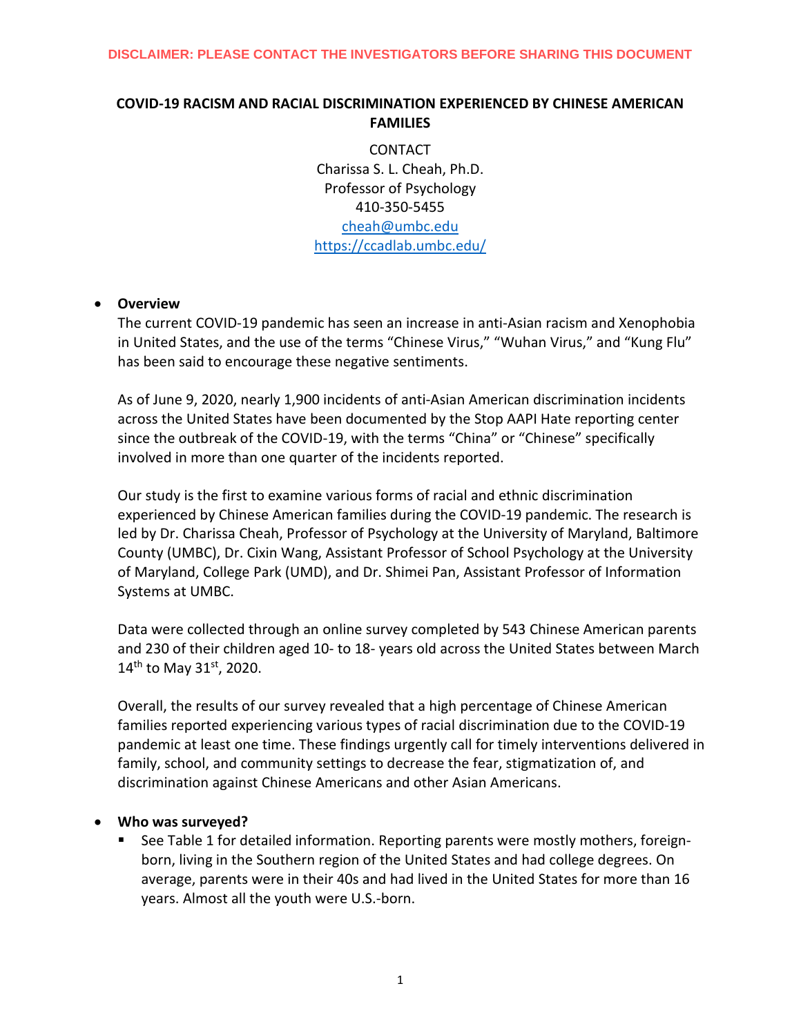# **COVID-19 RACISM AND RACIAL DISCRIMINATION EXPERIENCED BY CHINESE AMERICAN FAMILIES**

**CONTACT** Charissa S. L. Cheah, Ph.D. Professor of Psychology 410-350-5455 [cheah@umbc.edu](mailto:cheah@umbc.edu) <https://ccadlab.umbc.edu/>

## • **Overview**

The current COVID-19 pandemic has seen an increase in anti-Asian racism and Xenophobia in United States, and the use of the terms "Chinese Virus," "Wuhan Virus," and "Kung Flu" has been said to encourage these negative sentiments.

As of June 9, 2020, nearly 1,900 incidents of anti-Asian American discrimination incidents across the United States have been documented by the Stop AAPI Hate reporting center since the outbreak of the COVID-19, with the terms "China" or "Chinese" specifically involved in more than one quarter of the incidents reported.

Our study is the first to examine various forms of racial and ethnic discrimination experienced by Chinese American families during the COVID-19 pandemic. The research is led by Dr. Charissa Cheah, Professor of Psychology at the University of Maryland, Baltimore County (UMBC), Dr. Cixin Wang, Assistant Professor of School Psychology at the University of Maryland, College Park (UMD), and Dr. Shimei Pan, Assistant Professor of Information Systems at UMBC.

Data were collected through an online survey completed by 543 Chinese American parents and 230 of their children aged 10- to 18- years old across the United States between March  $14^{\text{th}}$  to May 31st, 2020.

Overall, the results of our survey revealed that a high percentage of Chinese American families reported experiencing various types of racial discrimination due to the COVID-19 pandemic at least one time. These findings urgently call for timely interventions delivered in family, school, and community settings to decrease the fear, stigmatization of, and discrimination against Chinese Americans and other Asian Americans.

## • **Who was surveyed?**

 See Table 1 for detailed information. Reporting parents were mostly mothers, foreignborn, living in the Southern region of the United States and had college degrees. On average, parents were in their 40s and had lived in the United States for more than 16 years. Almost all the youth were U.S.-born.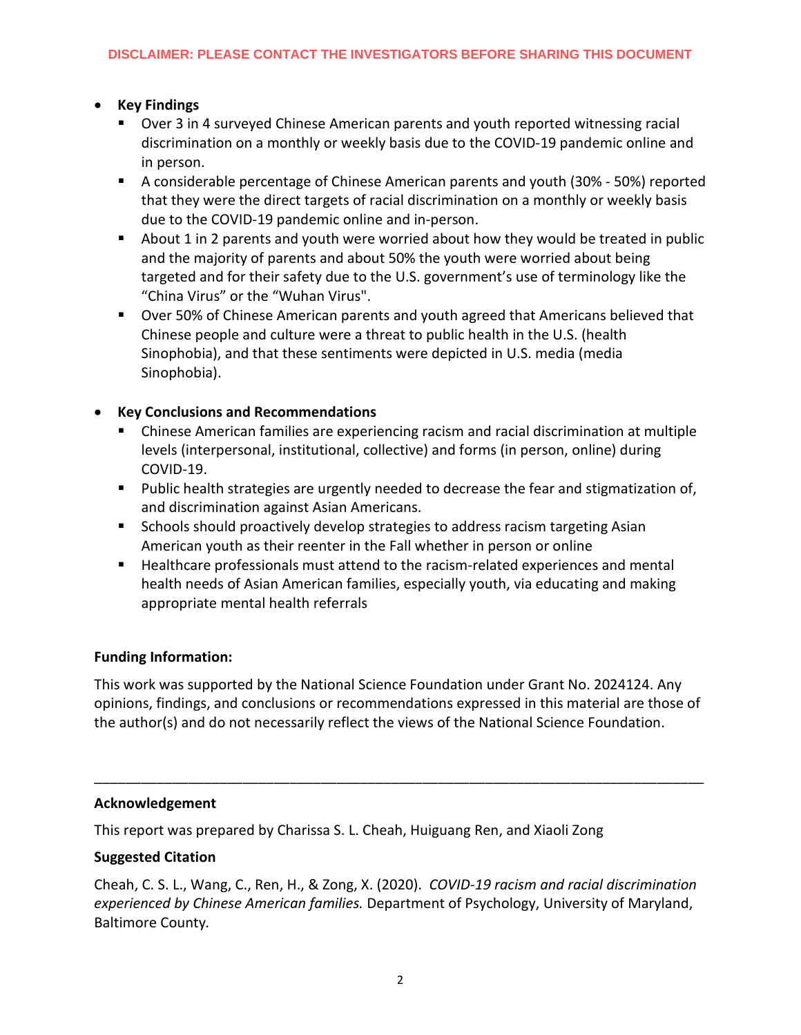# • **Key Findings**

- Over 3 in 4 surveyed Chinese American parents and youth reported witnessing racial discrimination on a monthly or weekly basis due to the COVID-19 pandemic online and in person.
- A considerable percentage of Chinese American parents and youth (30% 50%) reported that they were the direct targets of racial discrimination on a monthly or weekly basis due to the COVID-19 pandemic online and in-person.
- About 1 in 2 parents and youth were worried about how they would be treated in public and the majority of parents and about 50% the youth were worried about being targeted and for their safety due to the U.S. government's use of terminology like the "China Virus" or the "Wuhan Virus".
- **Diama 50% of Chinese American parents and youth agreed that Americans believed that** Chinese people and culture were a threat to public health in the U.S. (health Sinophobia), and that these sentiments were depicted in U.S. media (media Sinophobia).

# • **Key Conclusions and Recommendations**

- Chinese American families are experiencing racism and racial discrimination at multiple levels (interpersonal, institutional, collective) and forms (in person, online) during COVID-19.
- **Public health strategies are urgently needed to decrease the fear and stigmatization of,** and discrimination against Asian Americans.
- **Schools should proactively develop strategies to address racism targeting Asian** American youth as their reenter in the Fall whether in person or online
- Healthcare professionals must attend to the racism-related experiences and mental health needs of Asian American families, especially youth, via educating and making appropriate mental health referrals

# **Funding Information:**

This work was supported by the National Science Foundation under Grant No. 2024124. Any opinions, findings, and conclusions or recommendations expressed in this material are those of the author(s) and do not necessarily reflect the views of the National Science Foundation.

\_\_\_\_\_\_\_\_\_\_\_\_\_\_\_\_\_\_\_\_\_\_\_\_\_\_\_\_\_\_\_\_\_\_\_\_\_\_\_\_\_\_\_\_\_\_\_\_\_\_\_\_\_\_\_\_\_\_\_\_\_\_\_\_\_\_\_\_\_\_\_\_\_\_\_\_\_\_

## **Acknowledgement**

This report was prepared by Charissa S. L. Cheah, Huiguang Ren, and Xiaoli Zong

# **Suggested Citation**

Cheah, C. S. L., Wang, C., Ren, H., & Zong, X. (2020). *COVID-19 racism and racial discrimination experienced by Chinese American families.* Department of Psychology, University of Maryland, Baltimore County*.*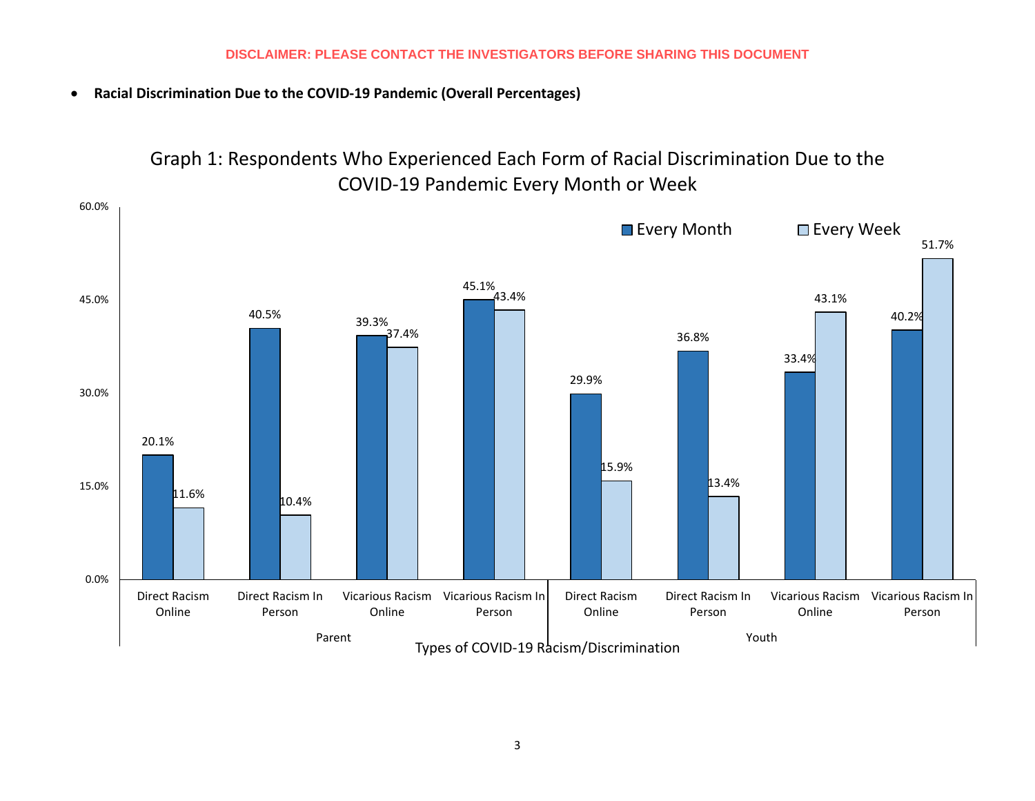• **Racial Discrimination Due to the COVID-19 Pandemic (Overall Percentages)**



Graph 1: Respondents Who Experienced Each Form of Racial Discrimination Due to the COVID-19 Pandemic Every Month or Week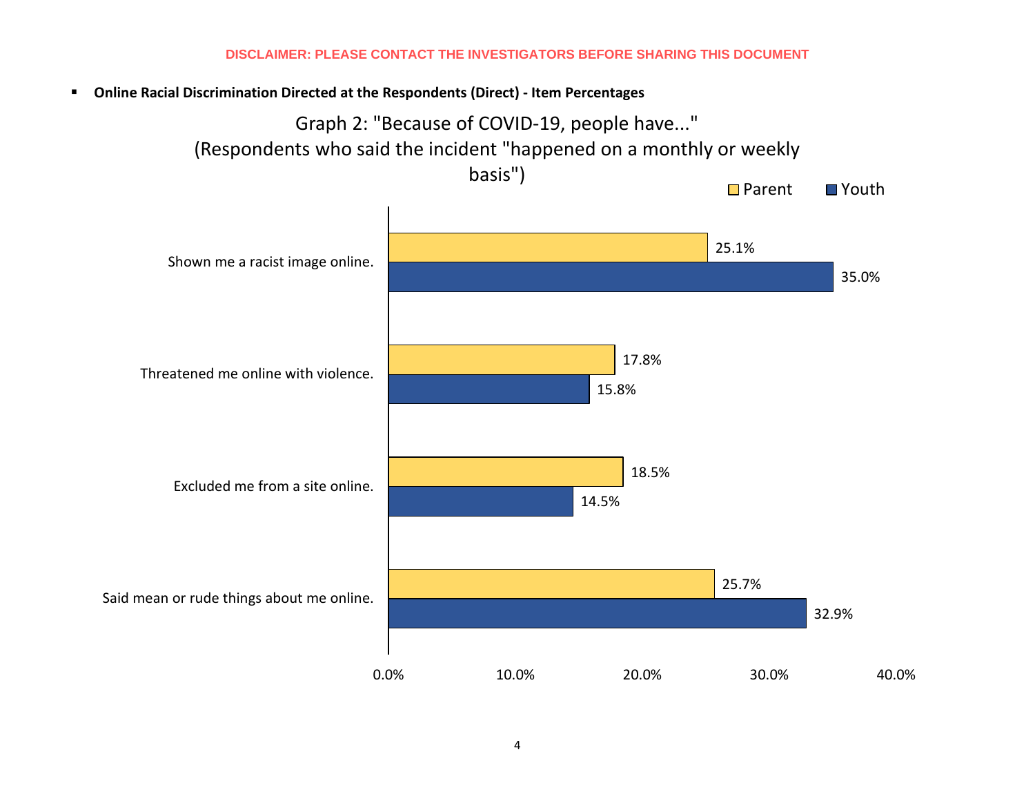**Online Racial Discrimination Directed at the Respondents (Direct) - Item Percentages**

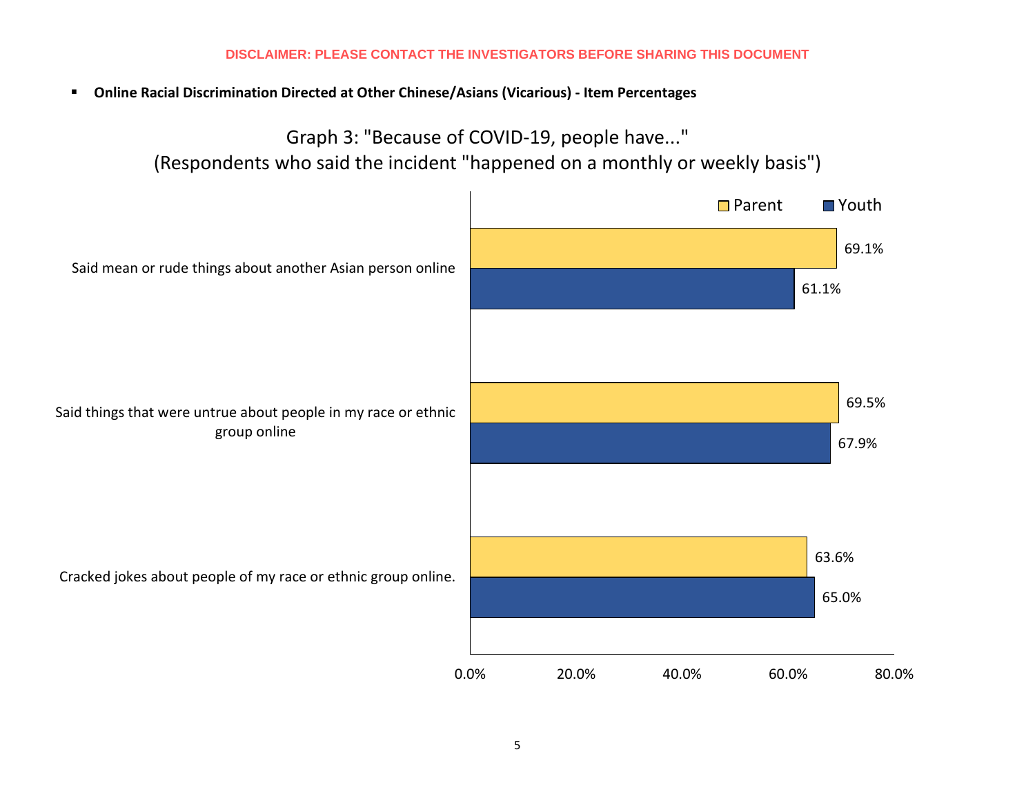**Online Racial Discrimination Directed at Other Chinese/Asians (Vicarious) - Item Percentages**

Graph 3: "Because of COVID-19, people have..." (Respondents who said the incident "happened on a monthly or weekly basis")

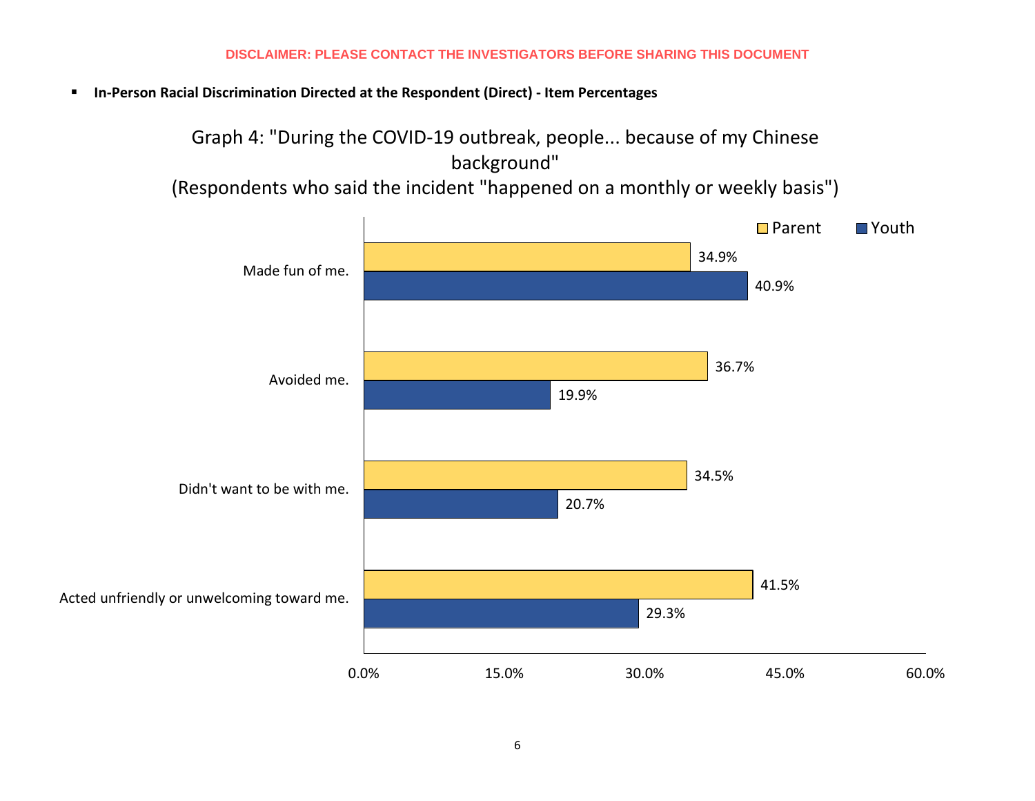**In-Person Racial Discrimination Directed at the Respondent (Direct) - Item Percentages**

Graph 4: "During the COVID-19 outbreak, people... because of my Chinese background"

(Respondents who said the incident "happened on a monthly or weekly basis")

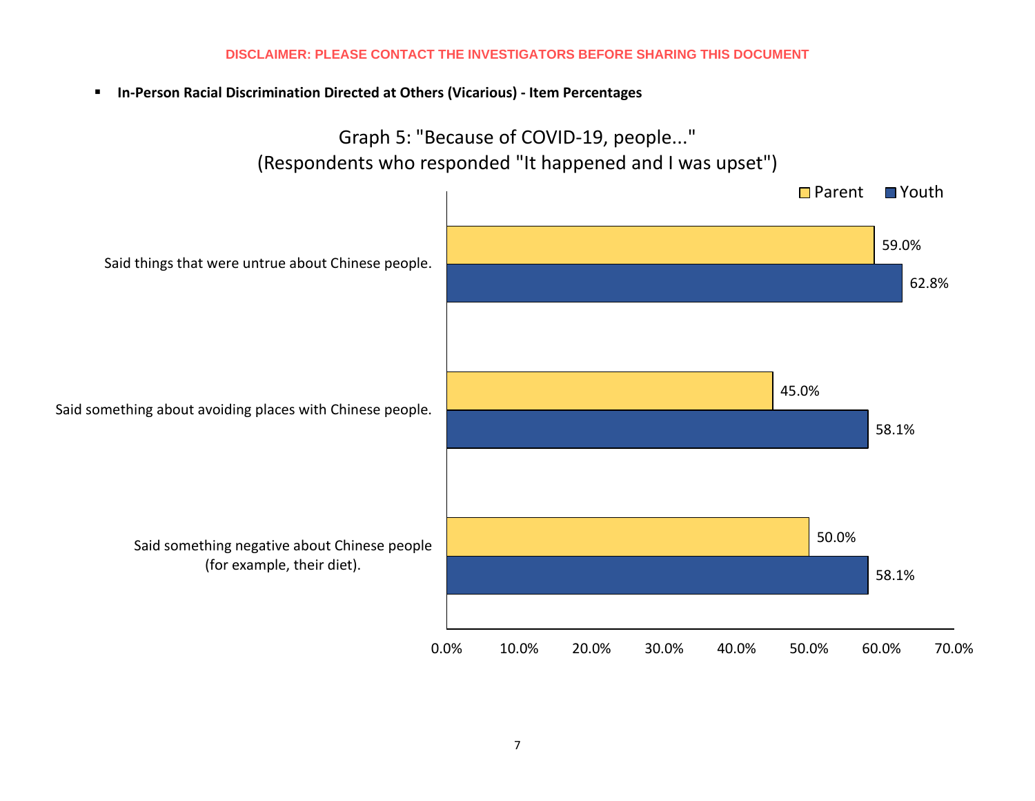**In-Person Racial Discrimination Directed at Others (Vicarious) - Item Percentages**

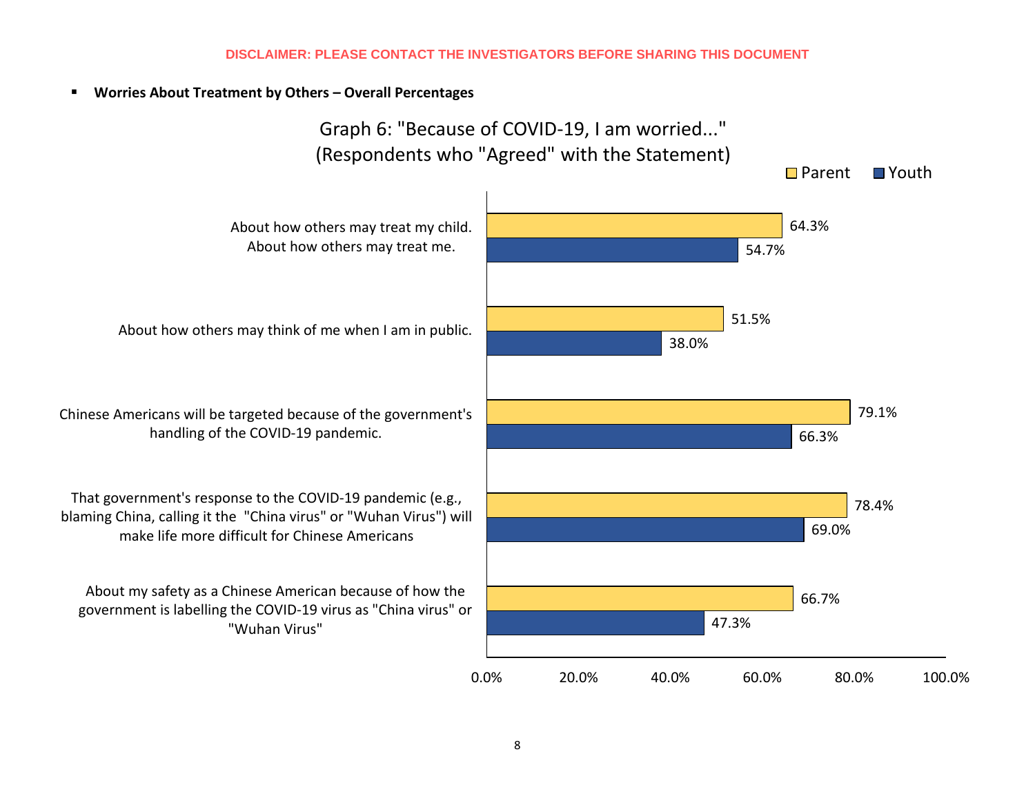## **Worries About Treatment by Others – Overall Percentages**

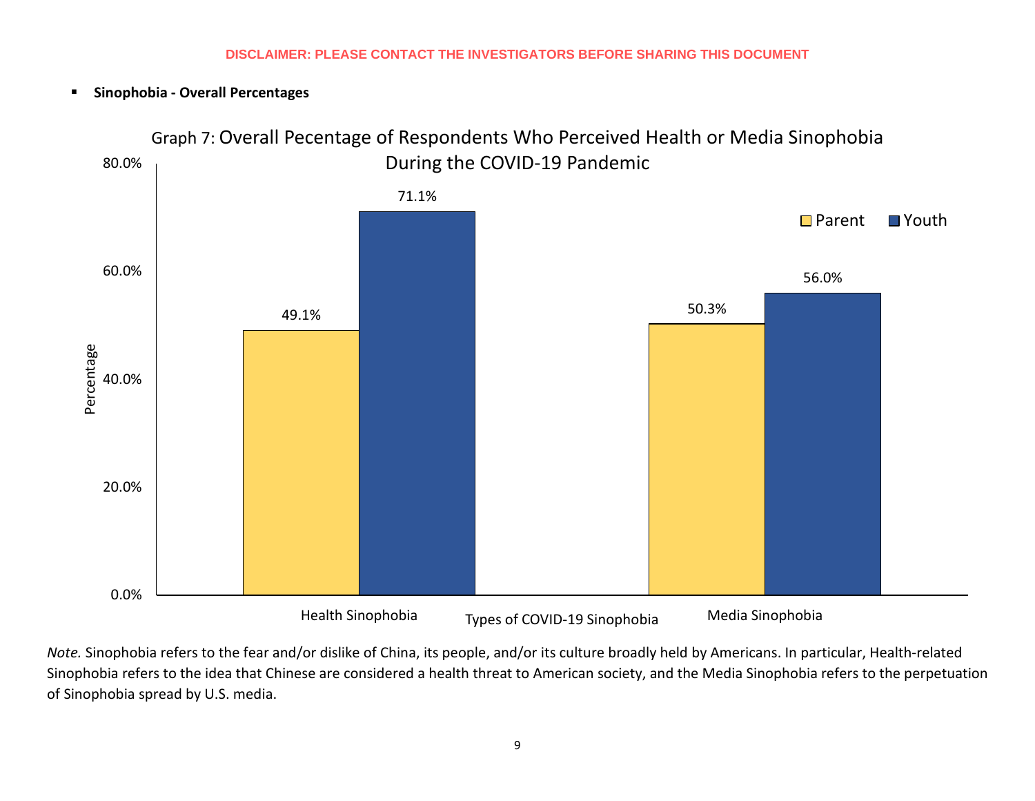**Sinophobia - Overall Percentages**



*Note.* Sinophobia refers to the fear and/or dislike of China, its people, and/or its culture broadly held by Americans. In particular, Health-related Sinophobia refers to the idea that Chinese are considered a health threat to American society, and the Media Sinophobia refers to the perpetuation of Sinophobia spread by U.S. media.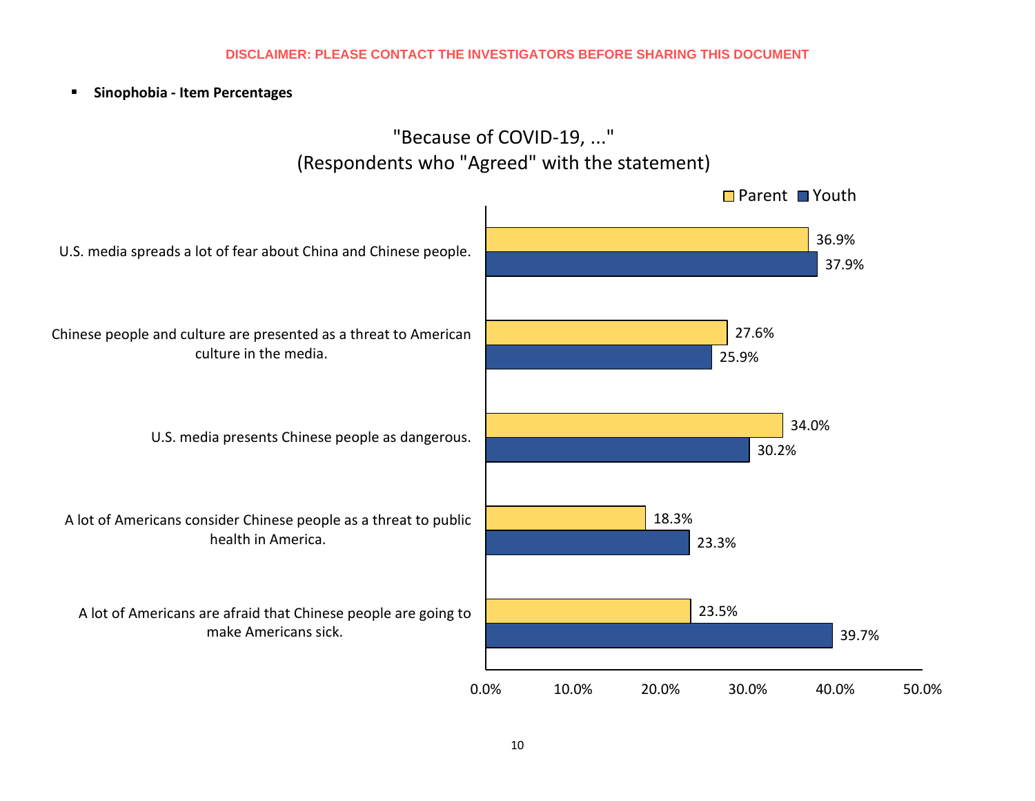**Sinophobia - Item Percentages**